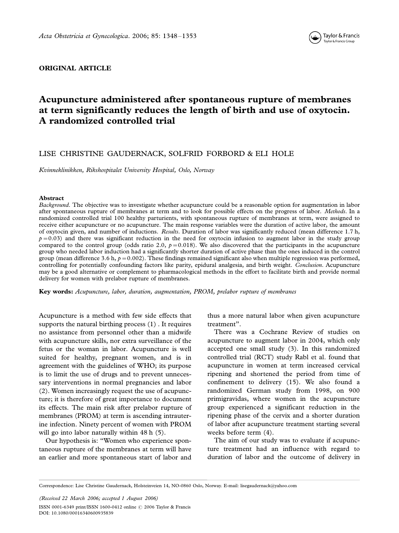

# ORIGINAL ARTICLE

# Acupuncture administered after spontaneous rupture of membranes at term significantly reduces the length of birth and use of oxytocin. A randomized controlled trial

# LISE CHRISTINE GAUDERNACK, SOLFRID FORBORD & ELI HOLE

Kvinneklinikken, Rikshospitalet University Hospital, Oslo, Norway

#### Abstract

Background. The objective was to investigate whether acupuncture could be a reasonable option for augmentation in labor after spontaneous rupture of membranes at term and to look for possible effects on the progress of labor. Methods. In a randomized controlled trial 100 healthy parturients, with spontaneous rupture of membranes at term, were assigned to receive either acupuncture or no acupuncture. The main response variables were the duration of active labor, the amount of oxytocin given, and number of inductions. Results. Duration of labor was significantly reduced (mean difference 1.7 h,  $p=0.03$ ) and there was significant reduction in the need for oxytocin infusion to augment labor in the study group compared to the control group (odds ratio 2.0,  $p=0.018$ ). We also discovered that the participants in the acupuncture group who needed labor induction had a significantly shorter duration of active phase than the ones induced in the control group (mean difference 3.6 h,  $p = 0.002$ ). These findings remained significant also when multiple regression was performed, controlling for potentially confounding factors like parity, epidural analgesia, and birth weight. Conclusion. Acupuncture may be a good alternative or complement to pharmacological methods in the effort to facilitate birth and provide normal delivery for women with prelabor rupture of membranes.

Key words: Acupuncture, labor, duration, augmentation, PROM, prelabor rupture of membranes

Acupuncture is a method with few side effects that supports the natural birthing process (1) . It requires no assistance from personnel other than a midwife with acupuncture skills, nor extra surveillance of the fetus or the woman in labor. Acupuncture is well suited for healthy, pregnant women, and is in agreement with the guidelines of WHO; its purpose is to limit the use of drugs and to prevent unnecessary interventions in normal pregnancies and labor (2). Women increasingly request the use of acupuncture; it is therefore of great importance to document its effects. The main risk after prelabor rupture of membranes (PROM) at term is ascending intrauterine infection. Ninety percent of women with PROM will go into labor naturally within 48 h (5).

Our hypothesis is: ''Women who experience spontaneous rupture of the membranes at term will have an earlier and more spontaneous start of labor and thus a more natural labor when given acupuncture treatment''.

There was a Cochrane Review of studies on acupuncture to augment labor in 2004, which only accepted one small study (3). In this randomized controlled trial (RCT) study Rabl et al. found that acupuncture in women at term increased cervical ripening and shortened the period from time of confinement to delivery (15). We also found a randomized German study from 1998, on 900 primigravidas, where women in the acupuncture group experienced a significant reduction in the ripening phase of the cervix and a shorter duration of labor after acupuncture treatment starting several weeks before term (4).

The aim of our study was to evaluate if acupuncture treatment had an influence with regard to duration of labor and the outcome of delivery in

Correspondence: Lise Christine Gaudernack, Holsteinveien 14, NO-0860 Oslo, Norway. E-mail: lisegaudernack@yahoo.com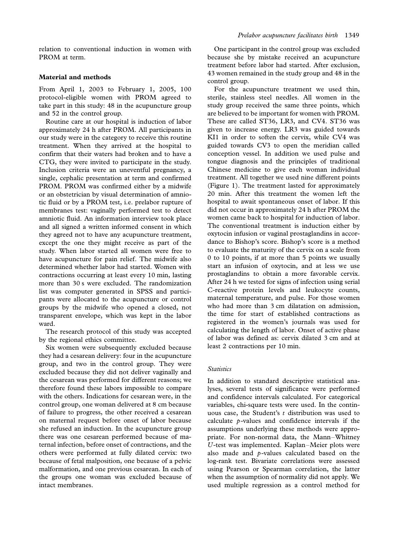relation to conventional induction in women with PROM at term.

## Material and methods

From April 1, 2003 to February 1, 2005, 100 protocol-eligible women with PROM agreed to take part in this study: 48 in the acupuncture group and 52 in the control group.

Routine care at our hospital is induction of labor approximately 24 h after PROM. All participants in our study were in the category to receive this routine treatment. When they arrived at the hospital to confirm that their waters had broken and to have a CTG, they were invited to participate in the study. Inclusion criteria were an uneventful pregnancy, a single, cephalic presentation at term and confirmed PROM. PROM was confirmed either by a midwife or an obstetrician by visual determination of amniotic fluid or by a PROM test, i.e. prelabor rupture of membranes test: vaginally performed test to detect amniotic fluid. An information interview took place and all signed a written informed consent in which they agreed not to have any acupuncture treatment, except the one they might receive as part of the study. When labor started all women were free to have acupuncture for pain relief. The midwife also determined whether labor had started. Women with contractions occurring at least every 10 min, lasting more than 30 s were excluded. The randomization list was computer generated in SPSS and participants were allocated to the acupuncture or control groups by the midwife who opened a closed, not transparent envelope, which was kept in the labor ward.

The research protocol of this study was accepted by the regional ethics committee.

Six women were subsequently excluded because they had a cesarean delivery: four in the acupuncture group, and two in the control group. They were excluded because they did not deliver vaginally and the cesarean was performed for different reasons; we therefore found these labors impossible to compare with the others. Indications for cesarean were, in the control group, one woman delivered at 8 cm because of failure to progress, the other received a cesarean on maternal request before onset of labor because she refused an induction. In the acupuncture group there was one cesarean performed because of maternal infection, before onset of contractions, and the others were performed at fully dilated cervix: two because of fetal malposition, one because of a pelvic malformation, and one previous cesarean. In each of the groups one woman was excluded because of intact membranes.

One participant in the control group was excluded because she by mistake received an acupuncture treatment before labor had started. After exclusion, 43 women remained in the study group and 48 in the control group.

For the acupuncture treatment we used thin, sterile, stainless steel needles. All women in the study group received the same three points, which are believed to be important for women with PROM. These are called ST36, LR3, and CV4. ST36 was given to increase energy. LR3 was guided towards KI1 in order to soften the cervix, while CV4 was guided towards CV3 to open the meridian called conception vessel. In addition we used pulse and tongue diagnosis and the principles of traditional Chinese medicine to give each woman individual treatment. All together we used nine different points (Figure 1). The treatment lasted for approximately 20 min. After this treatment the women left the hospital to await spontaneous onset of labor. If this did not occur in approximately 24 h after PROM the women came back to hospital for induction of labor. The conventional treatment is induction either by oxytocin infusion or vaginal prostaglandins in accordance to Bishop's score. Bishop's score is a method to evaluate the maturity of the cervix on a scale from 0 to 10 points, if at more than 5 points we usually start an infusion of oxytocin, and at less we use prostaglandins to obtain a more favorable cervix. After 24 h we tested for signs of infection using serial C-reactive protein levels and leukocyte counts, maternal temperature, and pulse. For those women who had more than 3 cm dilatation on admission, the time for start of established contractions as registered in the women's journals was used for calculating the length of labor. Onset of active phase of labor was defined as: cervix dilated 3 cm and at least 2 contractions per 10 min.

#### **Statistics**

In addition to standard descriptive statistical analyses, several tests of significance were performed and confidence intervals calculated. For categorical variables, chi-square tests were used. In the continuous case, the Student's  $t$  distribution was used to calculate p-values and confidence intervals if the assumptions underlying these methods were appropriate. For non-normal data, the Mann-Whitney U-test was implemented. Kaplan-Meier plots were also made and p-values calculated based on the log-rank test. Bivariate correlations were assessed using Pearson or Spearman correlation, the latter when the assumption of normality did not apply. We used multiple regression as a control method for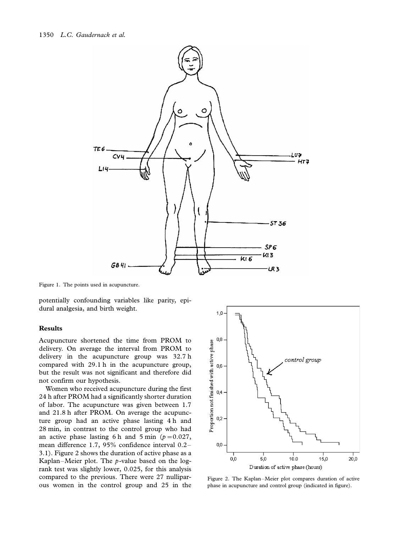

Figure 1. The points used in acupuncture.

potentially confounding variables like parity, epidural analgesia, and birth weight.

#### Results

Acupuncture shortened the time from PROM to delivery. On average the interval from PROM to delivery in the acupuncture group was 32.7 h compared with 29.1 h in the acupuncture group, but the result was not significant and therefore did not confirm our hypothesis.

Women who received acupuncture during the first 24 h after PROM had a significantly shorter duration of labor. The acupuncture was given between 1.7 and 21.8 h after PROM. On average the acupuncture group had an active phase lasting 4 h and 28 min, in contrast to the control group who had an active phase lasting 6 h and 5 min ( $p=0.027$ , mean difference 1.7, 95% confidence interval 0.2- 3.1). Figure 2 shows the duration of active phase as a Kaplan–Meier plot. The  $p$ -value based on the logrank test was slightly lower, 0.025, for this analysis compared to the previous. There were 27 nulliparous women in the control group and 25 in the



Figure 2. The Kaplan-Meier plot compares duration of active phase in acupuncture and control group (indicated in figure).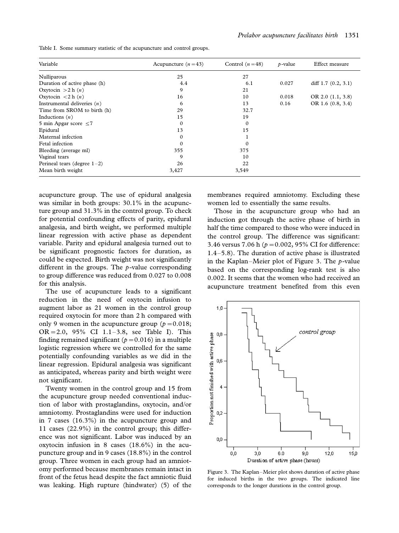Table I. Some summary statistic of the acupuncture and control groups.

| Variable                             | Acupuncture $(n=43)$ | Control $(n=48)$ | $p$ -value | Effect measure       |
|--------------------------------------|----------------------|------------------|------------|----------------------|
| Nulliparous                          | 25                   | 27               |            |                      |
| Duration of active phase (h)         | 4.4                  | 6.1              | 0.027      | diff $1.7(0.2, 3.1)$ |
| Oxytocin $>2$ h $(n)$                | 9                    | 21               |            |                      |
| Oxytocin $\langle 2 \, h(n) \rangle$ | 16                   | 10               | 0.018      | OR 2.0 $(1.1, 3.8)$  |
| Instrumental deliveries $(n)$        | 6                    | 13               | 0.16       | OR 1.6 (0.8, 3.4)    |
| Time from SROM to birth (h)          | 29                   | 32.7             |            |                      |
| Inductions $(n)$                     | 15                   | 19               |            |                      |
| 5 min Apgar score $\leq$ 7           | 0                    | $\mathbf 0$      |            |                      |
| Epidural                             | 13                   | 15               |            |                      |
| Maternal infection                   | $\Omega$             |                  |            |                      |
| Fetal infection                      | 0                    | $\Omega$         |            |                      |
| Bleeding (average ml)                | 355                  | 375              |            |                      |
| Vaginal tears                        | 9                    | 10               |            |                      |
| Perineal tears (degree $1-2$ )       | 26                   | 22               |            |                      |
| Mean birth weight                    | 3,427                | 3,549            |            |                      |

acupuncture group. The use of epidural analgesia was similar in both groups: 30.1% in the acupuncture group and 31.3% in the control group. To check for potential confounding effects of parity, epidural analgesia, and birth weight, we performed multiple linear regression with active phase as dependent variable. Parity and epidural analgesia turned out to be significant prognostic factors for duration, as could be expected. Birth weight was not significantly different in the groups. The  $p$ -value corresponding to group difference was reduced from 0.027 to 0.008 for this analysis.

The use of acupuncture leads to a significant reduction in the need of oxytocin infusion to augment labor as 21 women in the control group required oxytocin for more than 2 h compared with only 9 women in the acupuncture group ( $p=0.018$ ; OR = 2.0, 95% CI  $1.1 - 3.8$ , see Table I). This finding remained significant ( $p=0.016$ ) in a multiple logistic regression where we controlled for the same potentially confounding variables as we did in the linear regression. Epidural analgesia was significant as anticipated, whereas parity and birth weight were not significant.

Twenty women in the control group and 15 from the acupuncture group needed conventional induction of labor with prostaglandins, oxytocin, and/or amniotomy. Prostaglandins were used for induction in 7 cases (16.3%) in the acupuncture group and 11 cases (22.9%) in the control group; this difference was not significant. Labor was induced by an oxytocin infusion in 8 cases (18.6%) in the acupuncture group and in 9 cases (18.8%) in the control group. Three women in each group had an amniotomy performed because membranes remain intact in front of the fetus head despite the fact amniotic fluid was leaking. High rupture (hindwater) (5) of the

membranes required amniotomy. Excluding these women led to essentially the same results.

Those in the acupuncture group who had an induction got through the active phase of birth in half the time compared to those who were induced in the control group. The difference was significant: 3.46 versus 7.06 h ( $p = 0.002$ , 95% CI for difference: 1.4-5.8). The duration of active phase is illustrated in the Kaplan-Meier plot of Figure 3. The p-value based on the corresponding log-rank test is also 0.002. It seems that the women who had received an acupuncture treatment benefited from this even



Figure 3. The Kaplan-Meier plot shows duration of active phase for induced births in the two groups. The indicated line corresponds to the longer durations in the control group.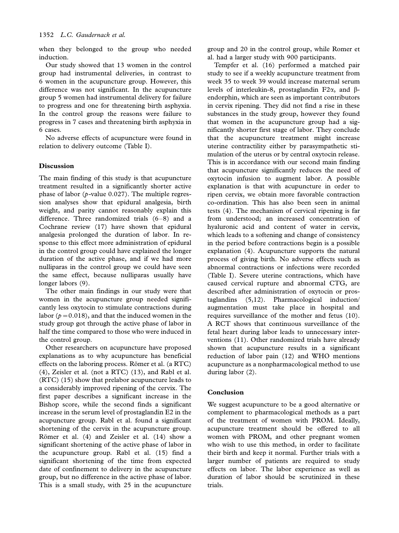when they belonged to the group who needed induction.

Our study showed that 13 women in the control group had instrumental deliveries, in contrast to 6 women in the acupuncture group. However, this difference was not significant. In the acupuncture group 5 women had instrumental delivery for failure to progress and one for threatening birth asphyxia. In the control group the reasons were failure to progress in 7 cases and threatening birth asphyxia in 6 cases.

No adverse effects of acupuncture were found in relation to delivery outcome (Table I).

## Discussion

The main finding of this study is that acupuncture treatment resulted in a significantly shorter active phase of labor ( $p$ -value 0.027). The multiple regression analyses show that epidural analgesia, birth weight, and parity cannot reasonably explain this difference. Three randomized trials (6-8) and a Cochrane review (17) have shown that epidural analgesia prolonged the duration of labor. In response to this effect more administration of epidural in the control group could have explained the longer duration of the active phase, and if we had more nulliparas in the control group we could have seen the same effect, because nulliparas usually have longer labors (9).

The other main findings in our study were that women in the acupuncture group needed significantly less oxytocin to stimulate contractions during labor ( $p=0.018$ ), and that the induced women in the study group got through the active phase of labor in half the time compared to those who were induced in the control group.

Other researchers on acupuncture have proposed explanations as to why acupuncture has beneficial effects on the laboring process. Römer et al.  $(a RTC)$ (4), Zeisler et al. (not a RTC) (13), and Rabl et al. (RTC) (15) show that prelabor acupuncture leads to a considerably improved ripening of the cervix. The first paper describes a significant increase in the Bishop score, while the second finds a significant increase in the serum level of prostaglandin E2 in the acupuncture group. Rabl et al. found a significant shortening of the cervix in the acupuncture group. Römer et al. (4) and Zeisler et al. (14) show a significant shortening of the active phase of labor in the acupuncture group. Rabl et al. (15) find a significant shortening of the time from expected date of confinement to delivery in the acupuncture group, but no difference in the active phase of labor. This is a small study, with 25 in the acupuncture

group and 20 in the control group, while Romer et al. had a larger study with 900 participants.

Tempfer et al. (16) performed a matched pair study to see if a weekly acupuncture treatment from week 35 to week 39 would increase maternal serum levels of interleukin-8, prostaglandin F2 $\alpha$ , and  $\beta$ endorphin, which are seen as important contributors in cervix ripening. They did not find a rise in these substances in the study group, however they found that women in the acupuncture group had a significantly shorter first stage of labor. They conclude that the acupuncture treatment might increase uterine contractility either by parasympathetic stimulation of the uterus or by central oxytocin release. This is in accordance with our second main finding that acupuncture significantly reduces the need of oxytocin infusion to augment labor. A possible explanation is that with acupuncture in order to ripen cervix, we obtain more favorable contraction co-ordination. This has also been seen in animal tests (4). The mechanism of cervical ripening is far from understood; an increased concentration of hyaluronic acid and content of water in cervix, which leads to a softening and change of consistency in the period before contractions begin is a possible explanation (4). Acupuncture supports the natural process of giving birth. No adverse effects such as abnormal contractions or infections were recorded (Table I). Severe uterine contractions, which have caused cervical rupture and abnormal CTG, are described after administration of oxytocin or prostaglandins (5,12). Pharmacological induction/ augmentation must take place in hospital and requires surveillance of the mother and fetus (10). A RCT shows that continuous surveillance of the fetal heart during labor leads to unnecessary interventions (11). Other randomized trials have already shown that acupuncture results in a significant reduction of labor pain (12) and WHO mentions acupuncture as a nonpharmacological method to use during labor (2).

## Conclusion

We suggest acupuncture to be a good alternative or complement to pharmacological methods as a part of the treatment of women with PROM. Ideally, acupuncture treatment should be offered to all women with PROM, and other pregnant women who wish to use this method, in order to facilitate their birth and keep it normal. Further trials with a larger number of patients are required to study effects on labor. The labor experience as well as duration of labor should be scrutinized in these trials.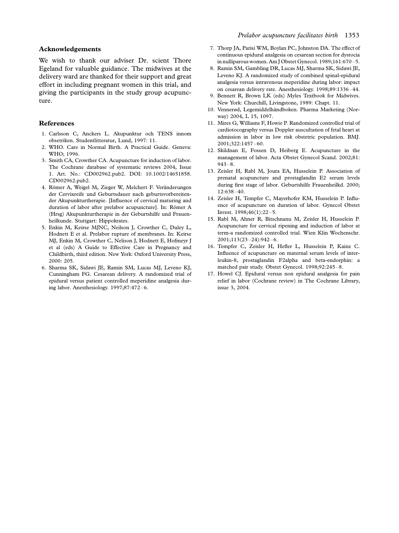## Acknowledgements

We wish to thank our adviser Dr. scient Thore Egeland for valuable guidance. The midwives at the delivery ward are thanked for their support and great effort in including pregnant women in this trial, and giving the participants in the study group acupuncture.

#### References

- 1. Carlsson C, Anckers L. Akupunktur och TENS innom obsetriken. Studentlitteratur, Lund, 1997: 11.
- 2. WHO. Care in Normal Birth. A Practical Guide. Geneva: WHO; 1996.
- 3. Smith CA, Crowther CA. Acupuncture for induction of labor. The Cochrane database of systematic reviews 2004, Issue 1. Art. No.: CD002962.pub2. DOI: 10.1002/14651858. CD002962.pub2.
- 4. Römer A, Weigel M, Zieger W, Melchert F. Veränderungen der Cervixreife und Geburtsdauer nach geburtsvorbereitender Akupunkturtherapie. [Influence of cervical maturing and duration of labor after prelabor acupuncture]. In: Römer A (Hrsg) Akupunkturtherapie in der Geburtshilfe und Frauenheilkunde. Stuttgart: Hippokrates.
- 5. Enkin M, Keirse MJNC, Neilson J, Crowther C, Duley L, Hodnett E et al. Prelabor rupture of membranes. In: Keirse MJ, Enkin M, Crowther C, Nelison J, Hodnett E, Hofmeyr J et al (eds) A Guide to Effective Care in Pregnancy and Childbirth, third edition. New York: Oxford University Press, 2000: 205.
- 6. Sharma SK, Sidawi JE, Ramin SM, Lucas MJ, Leveno KJ, Cunningham FG. Cesarean delivery. A randomized trial of epidural versus patient controlled meperidine analgesia during labor. Anesthesiology. 1997;87:472-6.
- 7. Thorp JA, Parisi WM, Boylan PC, Johnston DA. The effect of continuous epidural analgesia on cesarean section for dystocia in nulliparous women. Am J Obstet Gynecol. 1989;161:670-5.
- 8. Ramin SM, Gambling DR, Lucas MJ, Sharma SK, Sidawi JE, Leveno KJ. A randomized study of combined spinal-epidural analgesia versus intravenous meperidine during labor: impact on cesarean delivery rate. Anesthesiology. 1998;89:1336-44.
- 9. Bennett R, Brown LK (eds) Myles Textbook for Midwives. New York: Churchill, Livingstone, 1989: Chapt. 11.
- 10. Vennerød, Legemiddelhåndboken. Pharma Marketing (Norway) 2004, L 15, 1097.
- 11. Mires G, Williams F, Howie P. Randomized controlled trial of cardiotocography versus Doppler auscultation of fetal heart at admission in labor in low risk obstetric population. BMJ. 2001;322:1457-60.
- 12. Skildnan E, Fossen D, Heiberg E. Acupuncture in the management of labor. Acta Obstet Gynecol Scand. 2002;81: 943-8.
- 13. Zeisler H, Rabl M, Joura EA, Husselein P. Association of prenatal acupuncture and prostaglandin E2 serum levels during first stage of labor. Geburtshilfe Frauenheilkd. 2000; 12:638-40.
- 14. Zeisler H, Tempfer C, Mayerhofer KM, Husselein P. Influence of acupuncture on duration of labor. Gynecol Obstet Invest. 1998;46(1):22-5.
- 15. Rabl M, Ahner R, Bitschnanu M, Zeisler H, Husselein P. Acupuncture for cervical ripening and induction of labor at term-a randomized controlled trial. Wien Klin Wochenschr. 2001;113(23-24):942-6.
- 16. Tempfer C, Zeisler H, Hefler L, Husselein P, Kainz C. Influence of acupuncture on maternal serum levels of interleukin-8, prostaglandin F2alpha and beta-endorphin: a matched pair study. Obstet Gynecol. 1998;92:245-8.
- 17. Howel CJ. Epidural versus non epidural analgesia for pain relief in labor (Cochrane review) in The Cochrane Library, issue 3, 2004.